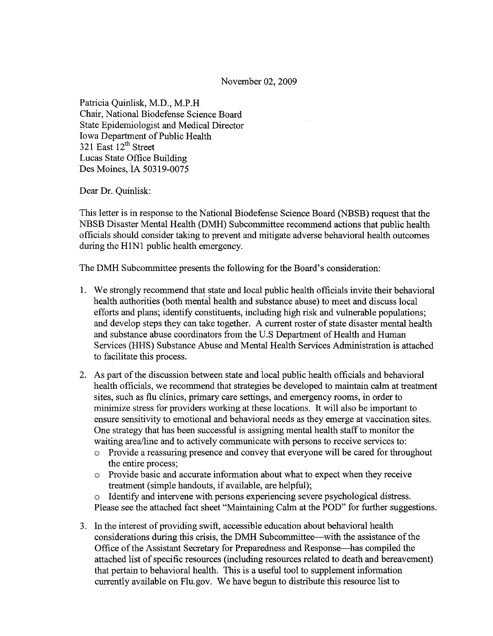November 02, 2009

Patricia Quinlisk, M.D., M.P.H Chair, National Biodefense Science Board State Epidemiologist and Medical Director Iowa Department of Public Health 321 East  $12^{th}$  Street Lucas State Office Building Des Moines,.IA 50319-0075

Dear Dr. Quinlisk:

This letter is in response to the National Biodefense Science Board (NBSB) request that the NBSB Disaster Mental Health (DMH) Subcommittee recommend actions that public health officials should consider taking to prevent and mitigate adverse behavioral health outcomes during the HINI public health emergency.

The DMH Subcommittee presents the following for the Board's consideration:

- 1. We strongly recommend that.state and local public health officials invite their behavioral health authorities (both mental health and substance abuse) to meet and discuss local efforts and plans; identify constituents, including high risk and vulnerable populations; and develop steps they can take together. A current roster of state disaster mental health and substance abuse coordinators from the U.S Department of Health and Human Services (HHS) Substance Abuse and Mental Health Services Administration is attached to facilitate this process.
- 2. As part of the discussion between state and local public health officials and behavioral health officials, we recommend that strategies be developed to maintain calm at treatment sites, such as flu clinics, primary care settings, and emergency rooms, in order to minimize stress for providers working at these locations. It will also be important to ensure sensitivity to emotional and behavioral needs as they emerge at vaccination sites. One strategy that has been successful is assigning mental health staff to monitor the waiting area/line and to actively communicate with persons to receive services to:
	- o Provide a reassuring presence and convey that everyone will be cared for throughout the entire process;
	- $\circ$  Provide basic and accurate information about what to expect when they receive treatment (simple handouts, if available, are helpful);
	- o Identify and intervene with persons experiencing severe psychological distress. Please see the attached fact sheet "Maintaining Calm at the POD" for further suggestions.
- 3. In the interest of providing swift, accessible education about behavioral health considerations during this crisis, the DMH Subcommittee—with the assistance of the Office ofthe Assistant Secretary for Preparedness and Response-has compiled the attached list of specific resources (including resources related to death and bereavement) that pertain to behavioral health. This is a useful tool to supplement information currently available on Flu.gov. We have begun to distribute this resource list to